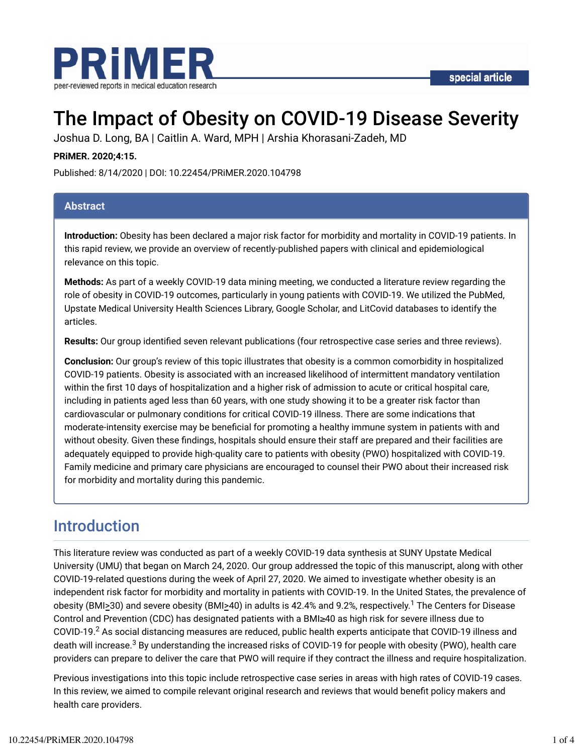

# The Impact of Obesity on COVID-19 Disease Severity

Joshua D. Long, BA | Caitlin A. Ward, MPH | Arshia Khorasani-Zadeh, MD

#### **PRiMER. 2020;4:15.**

Published: 8/14/2020 | DOI: 10.22454/PRiMER.2020.104798

#### **Abstract**

**Introduction:** Obesity has been declared a major risk factor for morbidity and mortality in COVID-19 patients. In this rapid review, we provide an overview of recently-published papers with clinical and epidemiological relevance on this topic.

**Methods:** As part of a weekly COVID-19 data mining meeting, we conducted a literature review regarding the role of obesity in COVID-19 outcomes, particularly in young patients with COVID-19. We utilized the PubMed, Upstate Medical University Health Sciences Library, Google Scholar, and LitCovid databases to identify the articles.

**Results:** Our group identified seven relevant publications (four retrospective case series and three reviews).

**Conclusion:** Our group's review of this topic illustrates that obesity is a common comorbidity in hospitalized COVID-19 patients. Obesity is associated with an increased likelihood of intermittent mandatory ventilation within the first 10 days of hospitalization and a higher risk of admission to acute or critical hospital care, including in patients aged less than 60 years, with one study showing it to be a greater risk factor than cardiovascular or pulmonary conditions for critical COVID-19 illness. There are some indications that moderate-intensity exercise may be beneficial for promoting a healthy immune system in patients with and without obesity. Given these findings, hospitals should ensure their staff are prepared and their facilities are adequately equipped to provide high-quality care to patients with obesity (PWO) hospitalized with COVID-19. Family medicine and primary care physicians are encouraged to counsel their PWO about their increased risk for morbidity and mortality during this pandemic.

### Introduction

This literature review was conducted as part of a weekly COVID-19 data synthesis at SUNY Upstate Medical University (UMU) that began on March 24, 2020. Our group addressed the topic of this manuscript, along with other COVID-19-related questions during the week of April 27, 2020. We aimed to investigate whether obesity is an independent risk factor for morbidity and mortality in patients with COVID-19. In the United States, the prevalence of obesity (BMI<u>></u>30) and severe obesity (BMI<u>></u>40) in adults is 42.4% and 9.2%, respectively.<sup>1</sup> The Centers for Disease Control and Prevention (CDC) has designated patients with a BMI≥40 as high risk for severe illness due to COVID-19. $^2$  As social distancing measures are reduced, public health experts anticipate that COVID-19 illness and death will increase.<sup>3</sup> By understanding the increased risks of COVID-19 for people with obesity (PWO), health care providers can prepare to deliver the care that PWO will require if they contract the illness and require hospitalization.

Previous investigations into this topic include retrospective case series in areas with high rates of COVID-19 cases. In this review, we aimed to compile relevant original research and reviews that would benefit policy makers and health care providers.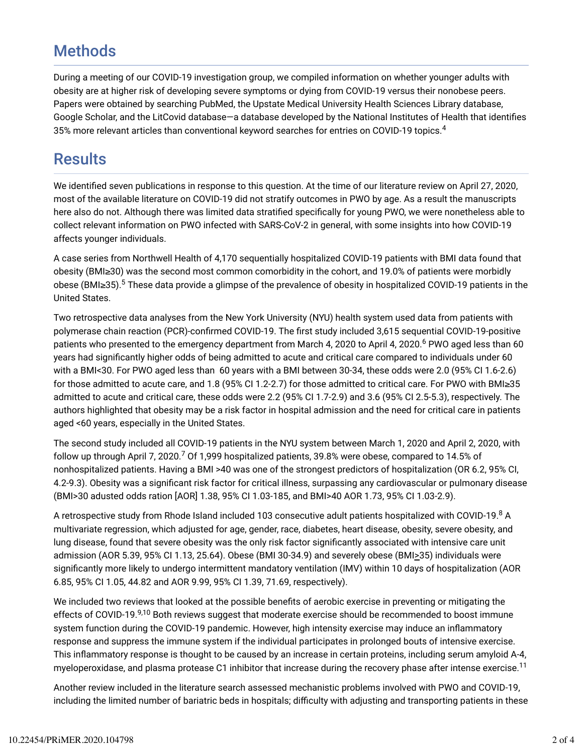### **Methods**

During a meeting of our COVID-19 investigation group, we compiled information on whether younger adults with obesity are at higher risk of developing severe symptoms or dying from COVID-19 versus their nonobese peers. Papers were obtained by searching PubMed, the Upstate Medical University Health Sciences Library database, Google Scholar, and the LitCovid database—a database developed by the National Institutes of Health that identifies 35% more relevant articles than conventional keyword searches for entries on COVID-19 topics. $^{\rm 4}$ 

### **Results**

We identified seven publications in response to this question. At the time of our literature review on April 27, 2020, most of the available literature on COVID-19 did not stratify outcomes in PWO by age. As a result the manuscripts here also do not. Although there was limited data stratified specifically for young PWO, we were nonetheless able to collect relevant information on PWO infected with SARS-CoV-2 in general, with some insights into how COVID-19 affects younger individuals.

A case series from Northwell Health of 4,170 sequentially hospitalized COVID-19 patients with BMI data found that obesity (BMI≥30) was the second most common comorbidity in the cohort, and 19.0% of patients were morbidly obese (BMI≥35).<sup>5</sup> These data provide a glimpse of the prevalence of obesity in hospitalized COVID-19 patients in the United States.

Two retrospective data analyses from the New York University (NYU) health system used data from patients with polymerase chain reaction (PCR)-confirmed COVID-19. The first study included 3,615 sequential COVID-19-positive patients who presented to the emergency department from March 4, 2020 to April 4, 2020.<sup>6</sup> PWO aged less than 60 years had significantly higher odds of being admitted to acute and critical care compared to individuals under 60 with a BMI<30. For PWO aged less than 60 years with a BMI between 30-34, these odds were 2.0 (95% CI 1.6-2.6) for those admitted to acute care, and 1.8 (95% CI 1.2-2.7) for those admitted to critical care. For PWO with BMI≥35 admitted to acute and critical care, these odds were 2.2 (95% CI 1.7-2.9) and 3.6 (95% CI 2.5-5.3), respectively. The authors highlighted that obesity may be a risk factor in hospital admission and the need for critical care in patients aged <60 years, especially in the United States.

The second study included all COVID-19 patients in the NYU system between March 1, 2020 and April 2, 2020, with follow up through April 7, 2020.<sup>7</sup> Of 1,999 hospitalized patients, 39.8% were obese, compared to 14.5% of nonhospitalized patients. Having a BMI >40 was one of the strongest predictors of hospitalization (OR 6.2, 95% CI, 4.2-9.3). Obesity was a significant risk factor for critical illness, surpassing any cardiovascular or pulmonary disease (BMI>30 adusted odds ration [AOR] 1.38, 95% CI 1.03-185, and BMI>40 AOR 1.73, 95% CI 1.03-2.9).

A retrospective study from Rhode Island included 103 consecutive adult patients hospitalized with COVID-19.<sup>8</sup> A multivariate regression, which adjusted for age, gender, race, diabetes, heart disease, obesity, severe obesity, and lung disease, found that severe obesity was the only risk factor significantly associated with intensive care unit admission (AOR 5.39, 95% CI 1.13, 25.64). Obese (BMI 30-34.9) and severely obese (BMI>35) individuals were significantly more likely to undergo intermittent mandatory ventilation (IMV) within 10 days of hospitalization (AOR 6.85, 95% CI 1.05, 44.82 and AOR 9.99, 95% CI 1.39, 71.69, respectively).

We included two reviews that looked at the possible benefits of aerobic exercise in preventing or mitigating the effects of COVID-19.<sup>9,10</sup> Both reviews suggest that moderate exercise should be recommended to boost immune system function during the COVID-19 pandemic. However, high intensity exercise may induce an inflammatory response and suppress the immune system if the individual participates in prolonged bouts of intensive exercise. This inflammatory response is thought to be caused by an increase in certain proteins, including serum amyloid A-4, myeloperoxidase, and plasma protease C1 inhibitor that increase during the recovery phase after intense exercise.<sup>11</sup>

Another review included in the literature search assessed mechanistic problems involved with PWO and COVID-19, including the limited number of bariatric beds in hospitals; difficulty with adjusting and transporting patients in these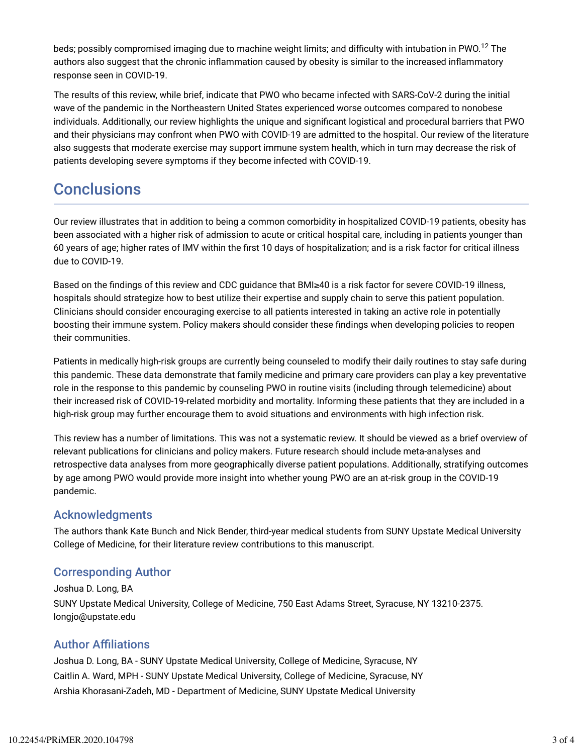beds; possibly compromised imaging due to machine weight limits; and difficulty with intubation in PWO. $^{12}$  The authors also suggest that the chronic inflammation caused by obesity is similar to the increased inflammatory response seen in COVID-19.

The results of this review, while brief, indicate that PWO who became infected with SARS-CoV-2 during the initial wave of the pandemic in the Northeastern United States experienced worse outcomes compared to nonobese individuals. Additionally, our review highlights the unique and significant logistical and procedural barriers that PWO and their physicians may confront when PWO with COVID-19 are admitted to the hospital. Our review of the literature also suggests that moderate exercise may support immune system health, which in turn may decrease the risk of patients developing severe symptoms if they become infected with COVID-19.

## **Conclusions**

Our review illustrates that in addition to being a common comorbidity in hospitalized COVID-19 patients, obesity has been associated with a higher risk of admission to acute or critical hospital care, including in patients younger than 60 years of age; higher rates of IMV within the first 10 days of hospitalization; and is a risk factor for critical illness due to COVID-19.

Based on the findings of this review and CDC guidance that BMI≥40 is a risk factor for severe COVID-19 illness, hospitals should strategize how to best utilize their expertise and supply chain to serve this patient population. Clinicians should consider encouraging exercise to all patients interested in taking an active role in potentially boosting their immune system. Policy makers should consider these findings when developing policies to reopen their communities.

Patients in medically high-risk groups are currently being counseled to modify their daily routines to stay safe during this pandemic. These data demonstrate that family medicine and primary care providers can play a key preventative role in the response to this pandemic by counseling PWO in routine visits (including through telemedicine) about their increased risk of COVID-19-related morbidity and mortality. Informing these patients that they are included in a high-risk group may further encourage them to avoid situations and environments with high infection risk.

This review has a number of limitations. This was not a systematic review. It should be viewed as a brief overview of relevant publications for clinicians and policy makers. Future research should include meta-analyses and retrospective data analyses from more geographically diverse patient populations. Additionally, stratifying outcomes by age among PWO would provide more insight into whether young PWO are an at-risk group in the COVID-19 pandemic.

### Acknowledgments

The authors thank Kate Bunch and Nick Bender, third-year medical students from SUNY Upstate Medical University College of Medicine, for their literature review contributions to this manuscript.

### Corresponding Author

Joshua D. Long, BA SUNY Upstate Medical University, College of Medicine, 750 East Adams Street, Syracuse, NY 13210-2375. longjo@upstate.edu

### **Author Affiliations**

Joshua D. Long, BA - SUNY Upstate Medical University, College of Medicine, Syracuse, NY Caitlin A. Ward, MPH - SUNY Upstate Medical University, College of Medicine, Syracuse, NY Arshia Khorasani-Zadeh, MD - Department of Medicine, SUNY Upstate Medical University